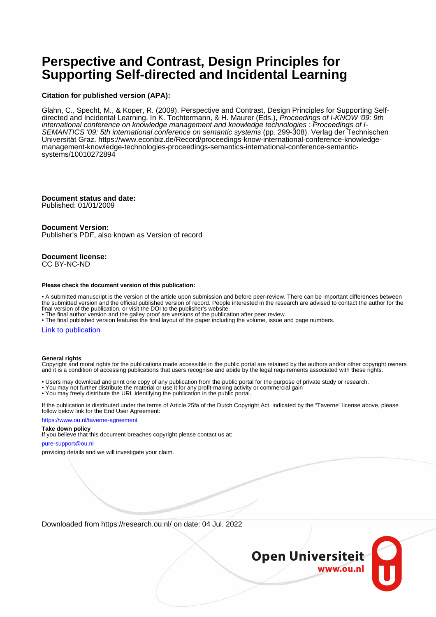# **Perspective and Contrast, Design Principles for Supporting Self-directed and Incidental Learning**

### **Citation for published version (APA):**

Glahn, C., Specht, M., & Koper, R. (2009). Perspective and Contrast, Design Principles for Supporting Selfdirected and Incidental Learning. In K. Tochtermann, & H. Maurer (Eds.), Proceedings of I-KNOW '09: 9th international conference on knowledge management and knowledge technologies : Proceedings of I-SEMANTICS '09: 5th international conference on semantic systems (pp. 299-308). Verlag der Technischen Universität Graz. [https://www.econbiz.de/Record/proceedings-know-international-conference-knowledge](https://www.econbiz.de/Record/proceedings-know-international-conference-knowledge-management-knowledge-technologies-proceedings-semantics-international-conference-semantic-systems/10010272894)[management-knowledge-technologies-proceedings-semantics-international-conference-semantic](https://www.econbiz.de/Record/proceedings-know-international-conference-knowledge-management-knowledge-technologies-proceedings-semantics-international-conference-semantic-systems/10010272894)[systems/10010272894](https://www.econbiz.de/Record/proceedings-know-international-conference-knowledge-management-knowledge-technologies-proceedings-semantics-international-conference-semantic-systems/10010272894)

### **Document status and date:**

Published: 01/01/2009

#### **Document Version:**

Publisher's PDF, also known as Version of record

#### **Document license:** CC BY-NC-ND

#### **Please check the document version of this publication:**

• A submitted manuscript is the version of the article upon submission and before peer-review. There can be important differences between the submitted version and the official published version of record. People interested in the research are advised to contact the author for the final version of the publication, or visit the DOI to the publisher's website.

• The final author version and the galley proof are versions of the publication after peer review.

• The final published version features the final layout of the paper including the volume, issue and page numbers.

#### [Link to publication](https://research.ou.nl/en/publications/5b64cfcc-161b-45b3-a637-486256f83f9f)

#### **General rights**

Copyright and moral rights for the publications made accessible in the public portal are retained by the authors and/or other copyright owners and it is a condition of accessing publications that users recognise and abide by the legal requirements associated with these rights.

- Users may download and print one copy of any publication from the public portal for the purpose of private study or research.
- You may not further distribute the material or use it for any profit-making activity or commercial gain
- You may freely distribute the URL identifying the publication in the public portal.

If the publication is distributed under the terms of Article 25fa of the Dutch Copyright Act, indicated by the "Taverne" license above, please follow below link for the End User Agreement:

#### https://www.ou.nl/taverne-agreement

### **Take down policy**

If you believe that this document breaches copyright please contact us at:

#### pure-support@ou.nl

providing details and we will investigate your claim.

Downloaded from https://research.ou.nl/ on date: 04 Jul. 2022

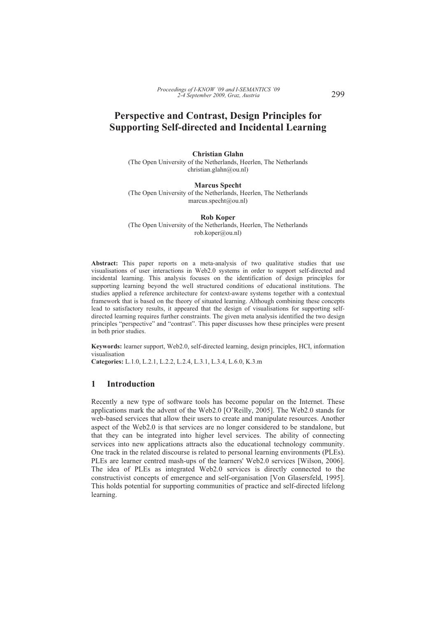## **Perspective and Contrast, Design Principles for Supporting Self-directed and Incidental Learning**

**Christian Glahn** 

(The Open University of the Netherlands, Heerlen, The Netherlands christian.glahn@ou.nl)

**Marcus Specht**  (The Open University of the Netherlands, Heerlen, The Netherlands marcus.specht@ou.nl)

**Rob Koper**  (The Open University of the Netherlands, Heerlen, The Netherlands

rob.koper@ou.nl)

**Abstract:** This paper reports on a meta-analysis of two qualitative studies that use visualisations of user interactions in Web2.0 systems in order to support self-directed and incidental learning. This analysis focuses on the identification of design principles for supporting learning beyond the well structured conditions of educational institutions. The studies applied a reference architecture for context-aware systems together with a contextual framework that is based on the theory of situated learning. Although combining these concepts lead to satisfactory results, it appeared that the design of visualisations for supporting selfdirected learning requires further constraints. The given meta analysis identified the two design principles "perspective" and "contrast". This paper discusses how these principles were present in both prior studies.

**Keywords:** learner support, Web2.0, self-directed learning, design principles, HCI, information visualisation

**Categories:** L.1.0, L.2.1, L.2.2, L.2.4, L.3.1, L.3.4, L.6.0, K.3.m

### **1 Introduction**

Recently a new type of software tools has become popular on the Internet. These applications mark the advent of the Web2.0 [O'Reilly, 2005]. The Web2.0 stands for web-based services that allow their users to create and manipulate resources. Another aspect of the Web2.0 is that services are no longer considered to be standalone, but that they can be integrated into higher level services. The ability of connecting services into new applications attracts also the educational technology community. One track in the related discourse is related to personal learning environments (PLEs). PLEs are learner centred mash-ups of the learners' Web2.0 services [Wilson, 2006]. The idea of PLEs as integrated Web2.0 services is directly connected to the constructivist concepts of emergence and self-organisation [Von Glasersfeld, 1995]. This holds potential for supporting communities of practice and self-directed lifelong learning.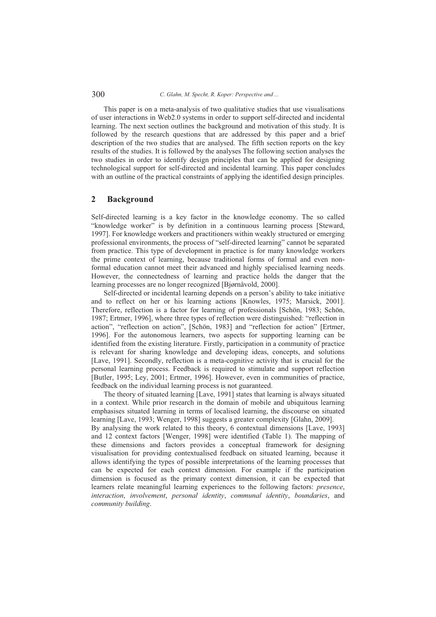300 *C. Glahn, M. Specht, R. Koper: Perspective and ...*

This paper is on a meta-analysis of two qualitative studies that use visualisations of user interactions in Web2.0 systems in order to support self-directed and incidental learning. The next section outlines the background and motivation of this study. It is followed by the research questions that are addressed by this paper and a brief description of the two studies that are analysed. The fifth section reports on the key results of the studies. It is followed by the analyses The following section analyses the two studies in order to identify design principles that can be applied for designing technological support for self-directed and incidental learning. This paper concludes with an outline of the practical constraints of applying the identified design principles.

### **2 Background**

Self-directed learning is a key factor in the knowledge economy. The so called "knowledge worker" is by definition in a continuous learning process [Steward, 1997]. For knowledge workers and practitioners within weakly structured or emerging professional environments, the process of "self-directed learning" cannot be separated from practice. This type of development in practice is for many knowledge workers the prime context of learning, because traditional forms of formal and even nonformal education cannot meet their advanced and highly specialised learning needs. However, the connectedness of learning and practice holds the danger that the learning processes are no longer recognized [Bjørnåvold, 2000].

Self-directed or incidental learning depends on a person's ability to take initiative and to reflect on her or his learning actions [Knowles, 1975; Marsick, 2001]. Therefore, reflection is a factor for learning of professionals [Schön, 1983; Schön, 1987; Ertmer, 1996], where three types of reflection were distinguished: "reflection in action", "reflection on action", [Schön, 1983] and "reflection for action" [Ertmer, 1996]. For the autonomous learners, two aspects for supporting learning can be identified from the existing literature. Firstly, participation in a community of practice is relevant for sharing knowledge and developing ideas, concepts, and solutions [Lave, 1991]. Secondly, reflection is a meta-cognitive activity that is crucial for the personal learning process. Feedback is required to stimulate and support reflection [Butler, 1995; Ley, 2001; Ertmer, 1996]. However, even in communities of practice, feedback on the individual learning process is not guaranteed.

The theory of situated learning [Lave, 1991] states that learning is always situated in a context. While prior research in the domain of mobile and ubiquitous learning emphasises situated learning in terms of localised learning, the discourse on situated learning [Lave, 1993; Wenger, 1998] suggests a greater complexity [Glahn, 2009]. By analysing the work related to this theory, 6 contextual dimensions [Lave, 1993] and 12 context factors [Wenger, 1998] were identified (Table 1). The mapping of these dimensions and factors provides a conceptual framework for designing visualisation for providing contextualised feedback on situated learning, because it allows identifying the types of possible interpretations of the learning processes that can be expected for each context dimension. For example if the participation dimension is focused as the primary context dimension, it can be expected that learners relate meaningful learning experiences to the following factors: *presence*, *interaction*, *involvement*, *personal identity*, *communal identity*, *boundaries*, and *community building*.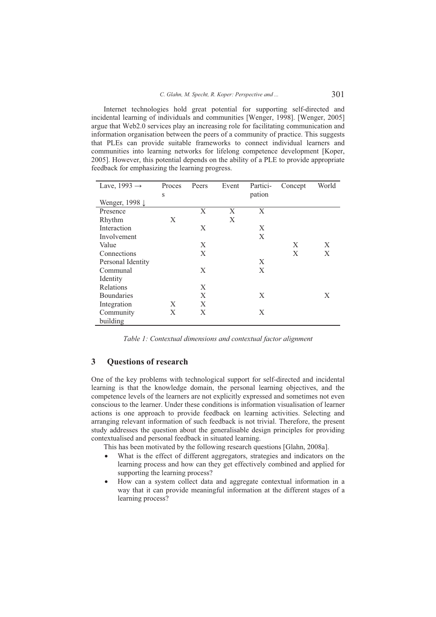Internet technologies hold great potential for supporting self-directed and incidental learning of individuals and communities [Wenger, 1998]. [Wenger, 2005] argue that Web2.0 services play an increasing role for facilitating communication and information organisation between the peers of a community of practice. This suggests that PLEs can provide suitable frameworks to connect individual learners and communities into learning networks for lifelong competence development [Koper, 2005]. However, this potential depends on the ability of a PLE to provide appropriate feedback for emphasizing the learning progress.

| Lave, $1993 \rightarrow$ | Proces | Peers | Event | Partici- | Concept | World |
|--------------------------|--------|-------|-------|----------|---------|-------|
|                          | S      |       |       | pation   |         |       |
| Wenger, 1998 ↓           |        |       |       |          |         |       |
| Presence                 |        | X     | X     | X        |         |       |
| Rhythm                   | X      |       | X     |          |         |       |
| Interaction              |        | X     |       | X        |         |       |
| Involvement              |        |       |       | X        |         |       |
| Value                    |        | X     |       |          | X       | X     |
| Connections              |        | X     |       |          | X       | X     |
| Personal Identity        |        |       |       | X        |         |       |
| Communal                 |        | X     |       | X        |         |       |
| Identity                 |        |       |       |          |         |       |
| Relations                |        | X     |       |          |         |       |
| <b>Boundaries</b>        |        | X     |       | Χ        |         | Χ     |
| Integration              | X      | X     |       |          |         |       |
| Community                | X      | X     |       | X        |         |       |
| building                 |        |       |       |          |         |       |

*Table 1: Contextual dimensions and contextual factor alignment* 

### **3 Questions of research**

One of the key problems with technological support for self-directed and incidental learning is that the knowledge domain, the personal learning objectives, and the competence levels of the learners are not explicitly expressed and sometimes not even conscious to the learner. Under these conditions is information visualisation of learner actions is one approach to provide feedback on learning activities. Selecting and arranging relevant information of such feedback is not trivial. Therefore, the present study addresses the question about the generalisable design principles for providing contextualised and personal feedback in situated learning.

This has been motivated by the following research questions [Glahn, 2008a].

- - What is the effect of different aggregators, strategies and indicators on the learning process and how can they get effectively combined and applied for supporting the learning process?
- $\bullet$  How can a system collect data and aggregate contextual information in a way that it can provide meaningful information at the different stages of a learning process?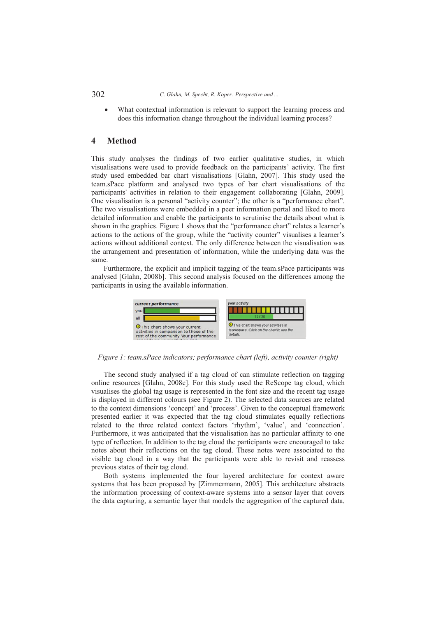302 *C. Glahn, M. Specht, R. Koper: Perspective and ...*

- What contextual information is relevant to support the learning process and does this information change throughout the individual learning process?

### **4 Method**

This study analyses the findings of two earlier qualitative studies, in which visualisations were used to provide feedback on the participants' activity. The first study used embedded bar chart visualisations [Glahn, 2007]. This study used the team.sPace platform and analysed two types of bar chart visualisations of the participants' activities in relation to their engagement collaborating [Glahn, 2009]. One visualisation is a personal "activity counter"; the other is a "performance chart". The two visualisations were embedded in a peer information portal and liked to more detailed information and enable the participants to scrutinise the details about what is shown in the graphics. Figure 1 shows that the "performance chart" relates a learner's actions to the actions of the group, while the "activity counter" visualises a learner's actions without additional context. The only difference between the visualisation was the arrangement and presentation of information, while the underlying data was the same.

Furthermore, the explicit and implicit tagging of the team.sPace participants was analysed [Glahn, 2008b]. This second analysis focused on the differences among the participants in using the available information.



*Figure 1: team.sPace indicators; performance chart (left), activity counter (right)* 

The second study analysed if a tag cloud of can stimulate reflection on tagging online resources [Glahn, 2008c]. For this study used the ReScope tag cloud, which visualises the global tag usage is represented in the font size and the recent tag usage is displayed in different colours (see Figure 2). The selected data sources are related to the context dimensions 'concept' and 'process'. Given to the conceptual framework presented earlier it was expected that the tag cloud stimulates equally reflections related to the three related context factors 'rhythm', 'value', and 'connection'. Furthermore, it was anticipated that the visualisation has no particular affinity to one type of reflection. In addition to the tag cloud the participants were encouraged to take notes about their reflections on the tag cloud. These notes were associated to the visible tag cloud in a way that the participants were able to revisit and reassess previous states of their tag cloud.

Both systems implemented the four layered architecture for context aware systems that has been proposed by [Zimmermann, 2005]. This architecture abstracts the information processing of context-aware systems into a sensor layer that covers the data capturing, a semantic layer that models the aggregation of the captured data,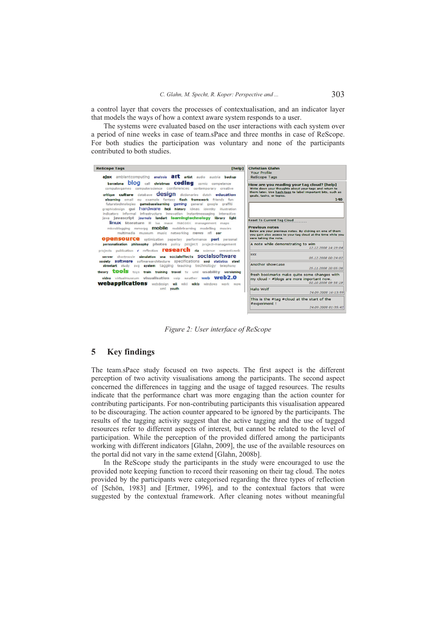a control layer that covers the processes of contextualisation, and an indicator layer that models the ways of how a context aware system responds to a user.

The systems were evaluated based on the user interactions with each system over a period of nine weeks in case of team.sPace and three months in case of ReScope. For both studies the participation was voluntary and none of the participants contributed to both studies.



*Figure 2: User interface of ReScope* 

### **5 Key findings**

The team.sPace study focused on two aspects. The first aspect is the different perception of two activity visualisations among the participants. The second aspect concerned the differences in tagging and the usage of tagged resources. The results indicate that the performance chart was more engaging than the action counter for contributing participants. For non-contributing participants this visualisation appeared to be discouraging. The action counter appeared to be ignored by the participants. The results of the tagging activity suggest that the active tagging and the use of tagged resources refer to different aspects of interest, but cannot be related to the level of participation. While the perception of the provided differed among the participants working with different indicators [Glahn, 2009], the use of the available resources on the portal did not vary in the same extend [Glahn, 2008b].

In the ReScope study the participants in the study were encouraged to use the provided note keeping function to record their reasoning on their tag cloud. The notes provided by the participants were categorised regarding the three types of reflection of [Schön, 1983] and [Ertmer, 1996], and to the contextual factors that were suggested by the contextual framework. After cleaning notes without meaningful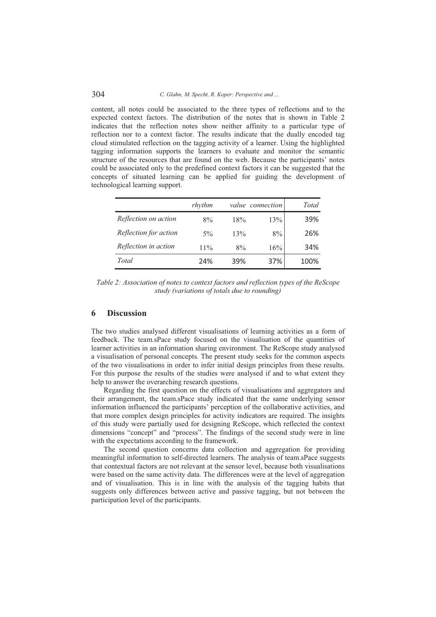### 304 *C. Glahn, M. Specht, R. Koper: Perspective and ...*

content, all notes could be associated to the three types of reflections and to the expected context factors. The distribution of the notes that is shown in Table 2 indicates that the reflection notes show neither affinity to a particular type of reflection nor to a context factor. The results indicate that the dually encoded tag cloud stimulated reflection on the tagging activity of a learner. Using the highlighted tagging information supports the learners to evaluate and monitor the semantic structure of the resources that are found on the web. Because the participants' notes could be associated only to the predefined context factors it can be suggested that the concepts of situated learning can be applied for guiding the development of technological learning support.

|                       | rhythm |     | value connection | Total |
|-----------------------|--------|-----|------------------|-------|
| Reflection on action  | 8%     | 18% | 13%              | 39%   |
| Reflection for action | $5\%$  | 13% | 8%               | 26%   |
| Reflection in action  | $11\%$ | 8%  | 16%              | 34%   |
| Total                 | 24%    | 39% | 37%              | 100%  |

*Table 2: Association of notes to context factors and reflection types of the ReScope study (variations of totals due to rounding)* 

### **6 Discussion**

The two studies analysed different visualisations of learning activities as a form of feedback. The team.sPace study focused on the visualisation of the quantities of learner activities in an information sharing environment. The ReScope study analysed a visualisation of personal concepts. The present study seeks for the common aspects of the two visualisations in order to infer initial design principles from these results. For this purpose the results of the studies were analysed if and to what extent they help to answer the overarching research questions.

Regarding the first question on the effects of visualisations and aggregators and their arrangement, the team.sPace study indicated that the same underlying sensor information influenced the participants' perception of the collaborative activities, and that more complex design principles for activity indicators are required. The insights of this study were partially used for designing ReScope, which reflected the context dimensions "concept" and "process". The findings of the second study were in line with the expectations according to the framework.

The second question concerns data collection and aggregation for providing meaningful information to self-directed learners. The analysis of team.sPace suggests that contextual factors are not relevant at the sensor level, because both visualisations were based on the same activity data. The differences were at the level of aggregation and of visualisation. This is in line with the analysis of the tagging habits that suggests only differences between active and passive tagging, but not between the participation level of the participants.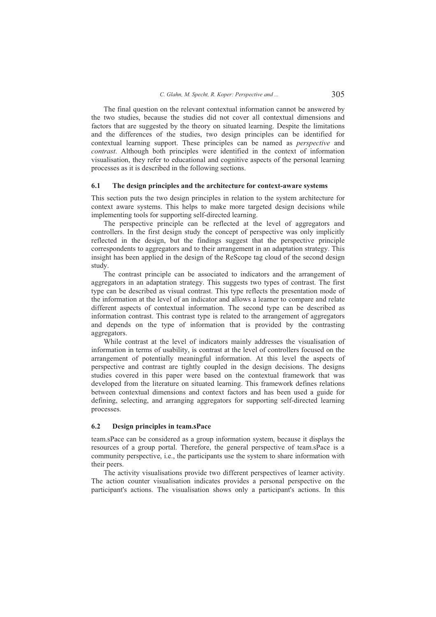The final question on the relevant contextual information cannot be answered by the two studies, because the studies did not cover all contextual dimensions and factors that are suggested by the theory on situated learning. Despite the limitations and the differences of the studies, two design principles can be identified for contextual learning support. These principles can be named as *perspective* and *contrast*. Although both principles were identified in the context of information visualisation, they refer to educational and cognitive aspects of the personal learning processes as it is described in the following sections.

#### **6.1 The design principles and the architecture for context-aware systems**

This section puts the two design principles in relation to the system architecture for context aware systems. This helps to make more targeted design decisions while implementing tools for supporting self-directed learning.

The perspective principle can be reflected at the level of aggregators and controllers. In the first design study the concept of perspective was only implicitly reflected in the design, but the findings suggest that the perspective principle correspondents to aggregators and to their arrangement in an adaptation strategy. This insight has been applied in the design of the ReScope tag cloud of the second design study.

The contrast principle can be associated to indicators and the arrangement of aggregators in an adaptation strategy. This suggests two types of contrast. The first type can be described as visual contrast. This type reflects the presentation mode of the information at the level of an indicator and allows a learner to compare and relate different aspects of contextual information. The second type can be described as information contrast. This contrast type is related to the arrangement of aggregators and depends on the type of information that is provided by the contrasting aggregators.

While contrast at the level of indicators mainly addresses the visualisation of information in terms of usability, is contrast at the level of controllers focused on the arrangement of potentially meaningful information. At this level the aspects of perspective and contrast are tightly coupled in the design decisions. The designs studies covered in this paper were based on the contextual framework that was developed from the literature on situated learning. This framework defines relations between contextual dimensions and context factors and has been used a guide for defining, selecting, and arranging aggregators for supporting self-directed learning processes.

#### **6.2 Design principles in team.sPace**

team.sPace can be considered as a group information system, because it displays the resources of a group portal. Therefore, the general perspective of team.sPace is a community perspective, i.e., the participants use the system to share information with their peers.

The activity visualisations provide two different perspectives of learner activity. The action counter visualisation indicates provides a personal perspective on the participant's actions. The visualisation shows only a participant's actions. In this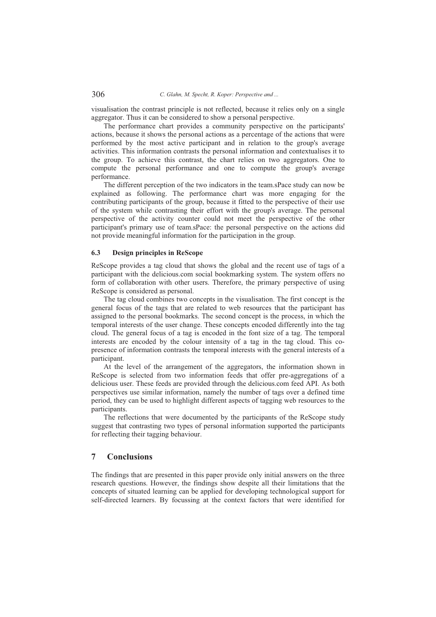visualisation the contrast principle is not reflected, because it relies only on a single aggregator. Thus it can be considered to show a personal perspective.

The performance chart provides a community perspective on the participants' actions, because it shows the personal actions as a percentage of the actions that were performed by the most active participant and in relation to the group's average activities. This information contrasts the personal information and contextualises it to the group. To achieve this contrast, the chart relies on two aggregators. One to compute the personal performance and one to compute the group's average performance.

The different perception of the two indicators in the team.sPace study can now be explained as following. The performance chart was more engaging for the contributing participants of the group, because it fitted to the perspective of their use of the system while contrasting their effort with the group's average. The personal perspective of the activity counter could not meet the perspective of the other participant's primary use of team.sPace: the personal perspective on the actions did not provide meaningful information for the participation in the group.

### **6.3 Design principles in ReScope**

ReScope provides a tag cloud that shows the global and the recent use of tags of a participant with the delicious.com social bookmarking system. The system offers no form of collaboration with other users. Therefore, the primary perspective of using ReScope is considered as personal.

The tag cloud combines two concepts in the visualisation. The first concept is the general focus of the tags that are related to web resources that the participant has assigned to the personal bookmarks. The second concept is the process, in which the temporal interests of the user change. These concepts encoded differently into the tag cloud. The general focus of a tag is encoded in the font size of a tag. The temporal interests are encoded by the colour intensity of a tag in the tag cloud. This copresence of information contrasts the temporal interests with the general interests of a participant.

At the level of the arrangement of the aggregators, the information shown in ReScope is selected from two information feeds that offer pre-aggregations of a delicious user. These feeds are provided through the delicious.com feed API. As both perspectives use similar information, namely the number of tags over a defined time period, they can be used to highlight different aspects of tagging web resources to the participants.

The reflections that were documented by the participants of the ReScope study suggest that contrasting two types of personal information supported the participants for reflecting their tagging behaviour.

### **7 Conclusions**

The findings that are presented in this paper provide only initial answers on the three research questions. However, the findings show despite all their limitations that the concepts of situated learning can be applied for developing technological support for self-directed learners. By focussing at the context factors that were identified for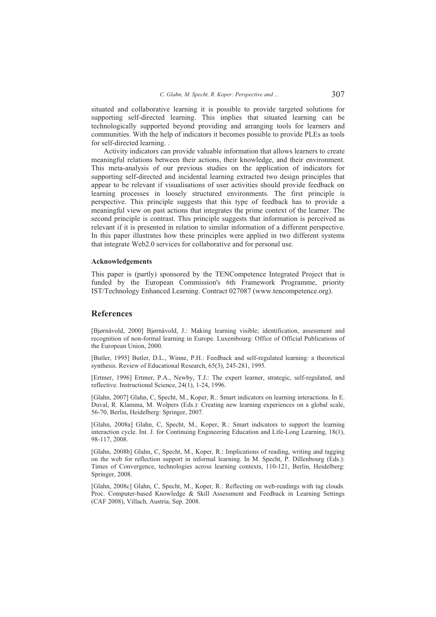situated and collaborative learning it is possible to provide targeted solutions for supporting self-directed learning. This implies that situated learning can be technologically supported beyond providing and arranging tools for learners and communities. With the help of indicators it becomes possible to provide PLEs as tools for self-directed learning. .

Activity indicators can provide valuable information that allows learners to create meaningful relations between their actions, their knowledge, and their environment. This meta-analysis of our previous studies on the application of indicators for supporting self-directed and incidental learning extracted two design principles that appear to be relevant if visualisations of user activities should provide feedback on learning processes in loosely structured environments. The first principle is perspective. This principle suggests that this type of feedback has to provide a meaningful view on past actions that integrates the prime context of the learner. The second principle is contrast. This principle suggests that information is perceived as relevant if it is presented in relation to similar information of a different perspective. In this paper illustrates how these principles were applied in two different systems that integrate Web2.0 services for collaborative and for personal use.

#### **Acknowledgements**

This paper is (partly) sponsored by the TENCompetence Integrated Project that is funded by the European Commission's 6th Framework Programme, priority IST/Technology Enhanced Learning. Contract 027087 (www.tencompetence.org).

### **References**

[Bjørnåvold, 2000] Bjørnåvold, J.: Making learning visible; identification, assessment and recognition of non-formal learning in Europe. Luxembourg: Office of Official Publications of the European Union, 2000.

[Butler, 1995] Butler, D.L., Winne, P.H.: Feedback and self-regulated learning: a theoretical synthesis. Review of Educational Research, 65(3), 245-281, 1995.

[Ertmer, 1996] Ertmer, P.A., Newby, T.J.: The expert learner, strategic, self-regulated, and reflective. Instructional Science, 24(1), 1-24, 1996.

[Glahn, 2007] Glahn, C, Specht, M., Koper, R.: Smart indicators on learning interactions. In E. Duval, R. Klamma, M. Wolpers (Eds.): Creating new learning experiences on a global scale, 56-70, Berlin, Heidelberg: Springer, 2007.

[Glahn, 2008a] Glahn, C, Specht, M., Koper, R.: Smart indicators to support the learning interaction cycle. Int. J. for Continuing Engineering Education and Life-Long Learning, 18(1), 98-117, 2008.

[Glahn, 2008b] Glahn, C, Specht, M., Koper, R.: Implications of reading, writing and tagging on the web for reflection support in informal learning. In M. Specht, P. Dillenbourg (Eds.): Times of Convergence, technologies across learning contexts, 110-121, Berlin, Heidelberg: Springer, 2008.

[Glahn, 2008c] Glahn, C, Specht, M., Koper, R.: Reflecting on web-readings with tag clouds. Proc. Computer-based Knowledge & Skill Assessment and Feedback in Learning Settings (CAF 2008), Villach, Austria, Sep. 2008.